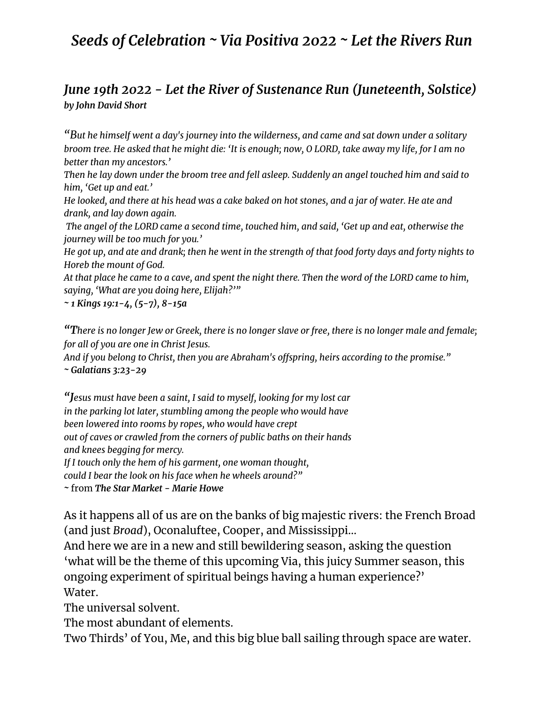#### *June 19th 2022 - Let the River of Sustenance Run (Juneteenth, Solstice) by John David Short*

*"But he himself went a day's journey into the wilderness, and came and sat down under a solitary* broom tree. He asked that he might die: 'It is enough; now, O LORD, take away my life, for I am no *better than my ancestors.'*

*Then he lay down under the broom tree and fell asleep. Suddenly an angel touched him and said to him, 'Get up and eat.'*

He looked, and there at his head was a cake baked on hot stones, and a jar of water. He ate and *drank, and lay down again.*

*The angel of the LORD came a second time, touched him, and said, 'Get up and eat, otherwise the journey will be too much for you.'*

He got up, and ate and drank; then he went in the strength of that food forty days and forty nights to *Horeb the mount of God.*

At that place he came to a cave, and spent the night there. Then the word of the LORD came to him, *saying, 'What are you doing here, Elijah?'"*

*~ 1 Kings 19:1-4, (5-7), 8-15a*

"There is no longer Jew or Greek, there is no longer slave or free, there is no longer male and female; *for all of you are one in Christ Jesus.*

*And if you belong to Christ, then you are Abraham's ospring, heirs according to the promise." ~ Galatians 3:23-29*

*"Jesus must have been a saint, I said to myself, looking for my lost car in the parking lot later, stumbling among the people who would have been lowered into rooms by ropes, who would have crept out of caves or crawled from the corners of public baths on their hands and knees begging for mercy. If I touch only the hem of his garment, one woman thought, could I bear the look on his face when he wheels around?" ~* from *The Star Market - Marie Howe*

As it happens all of us are on the banks of big majestic rivers: the French Broad (and just *Broad*), Oconaluftee, Cooper, and Mississippi...

And here we are in a new and still bewildering season, asking the question 'what will be the theme of this upcoming Via, this juicy Summer season, this ongoing experiment of spiritual beings having a human experience?' Water.

The universal solvent.

The most abundant of elements.

Two Thirds' of You, Me, and this big blue ball sailing through space are water.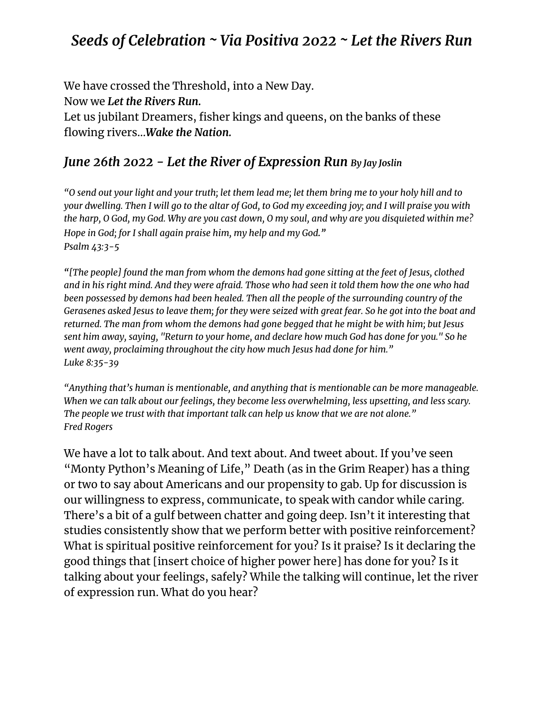We have crossed the Threshold, into a New Day. Now we *Let the Rivers Run.* Let us jubilant Dreamers, fisher kings and queens, on the banks of these flowing rivers...*Wake the Nation.*

#### *June 26th 2022 - Let the River of Expression Run By Jay Joslin*

"O send out your light and your truth; let them lead me; let them bring me to your holy hill and to your dwelling. Then I will go to the altar of God, to God my exceeding joy; and I will praise you with the harp, O God, my God. Why are you cast down, O my soul, and why are you disquieted within me? *Hope in God; for I shall again praise him, my help and my God." Psalm 43:3-5*

*"[The people] found the man from whom the demons had gone sitting at the feet of Jesus, clothed* and in his right mind. And they were afraid. Those who had seen it told them how the one who had *been possessed by demons had been healed. Then all the people of the surrounding country of the* Gerasenes asked Jesus to leave them; for they were seized with great fear. So he got into the boat and *returned. The man from whom the demons had gone begged that he might be with him; but Jesus sent him away, saying, "Return to your home, and declare how much God has done for you." So he went away, proclaiming throughout the city how much Jesus had done for him." Luke 8:35-39*

*"Anything that's human is mentionable, and anything that is mentionable can be more manageable. When we can talk about our feelings, they become less overwhelming, less upsetting, and less scary. The people we trust with that important talk can help us know that we are not alone." Fred Rogers*

We have a lot to talk about. And text about. And tweet about. If you've seen "Monty Python's Meaning of Life," Death (as in the Grim Reaper) has a thing or two to say about Americans and our propensity to gab. Up for discussion is our willingness to express, communicate, to speak with candor while caring. There's a bit of a gulf between chatter and going deep. Isn't it interesting that studies consistently show that we perform better with positive reinforcement? What is spiritual positive reinforcement for you? Is it praise? Is it declaring the good things that [insert choice of higher power here] has done for you? Is it talking about your feelings, safely? While the talking will continue, let the river of expression run. What do you hear?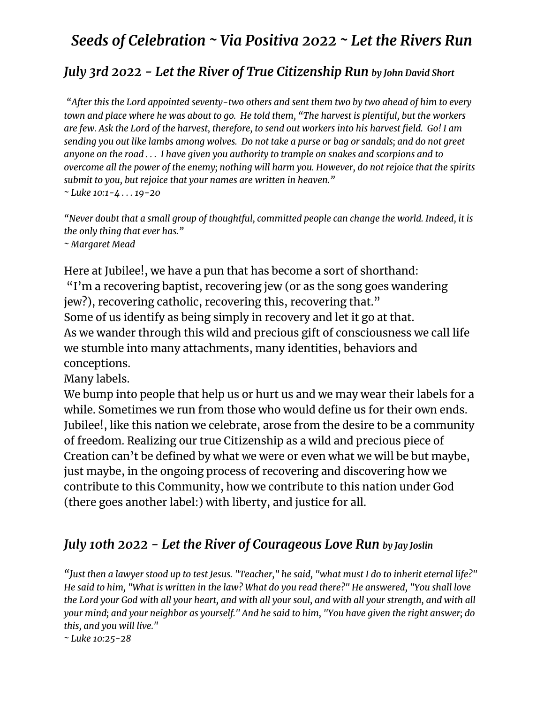#### *July 3rd 2022 - Let the River of True Citizenship Run by John David Short*

*"After this the Lord appointed seventy-two others and sent them two by two ahead of him to every town and place where he was about to go. He told them, "The harvest is plentiful, but the workers* are few. Ask the Lord of the harvest, therefore, to send out workers into his harvest field. Go! I am sending you out like lambs among wolves. Do not take a purse or bag or sandals; and do not greet *anyone on the road . . . I have given you authority to trample on snakes and scorpions and to* overcome all the power of the enemy; nothing will harm you. However, do not rejoice that the spirits *submit to you, but rejoice that your names are written in heaven." ~ Luke 10:1-4 . . . 19-20*

*"Never doubt that a small group of thoughtful, committed people can change the world. Indeed, it is the only thing that ever has." ~ Margaret Mead*

Here at Jubilee!, we have a pun that has become a sort of shorthand:

"I'm a recovering baptist, recovering jew (or as the song goes wandering jew?), recovering catholic, recovering this, recovering that." Some of us identify as being simply in recovery and let it go at that. As we wander through this wild and precious gift of consciousness we call life we stumble into many attachments, many identities, behaviors and conceptions.

Many labels.

We bump into people that help us or hurt us and we may wear their labels for a while. Sometimes we run from those who would define us for their own ends. Jubilee!, like this nation we celebrate, arose from the desire to be a community of freedom. Realizing our true Citizenship as a wild and precious piece of Creation can't be defined by what we were or even what we will be but maybe, just maybe, in the ongoing process of recovering and discovering how we contribute to this Community, how we contribute to this nation under God (there goes another label:) with liberty, and justice for all.

#### *July 10th 2022 - Let the River of Courageous Love Run by Jay Joslin*

"Just then a lawyer stood up to test Jesus. "Teacher," he said, "what must I do to inherit eternal life?" *He said to him, "What is written in the law? What do you read there?" He answered, "You shall love* the Lord your God with all your heart, and with all your soul, and with all your strength, and with all your mind; and your neighbor as yourself." And he said to him, "You have given the right answer; do *this, and you will live."*

*~ Luke 10:25-28*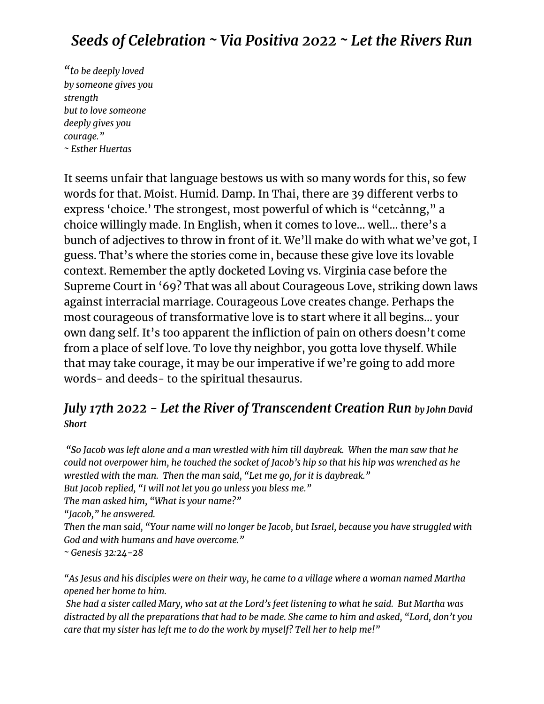*"to be deeply loved by someone gives you strength but to love someone deeply gives you courage." ~ Esther Huertas*

It seems unfair that language bestows us with so many words for this, so few words for that. Moist. Humid. Damp. In Thai, there are 39 different verbs to express 'choice.' The strongest, most powerful of which is "cetcảnng," a choice willingly made. In English, when it comes to love… well… there's a bunch of adjectives to throw in front of it. We'll make do with what we've got, I guess. That's where the stories come in, because these give love its lovable context. Remember the aptly docketed Loving vs. Virginia case before the Supreme Court in '69? That was all about Courageous Love, striking down laws against interracial marriage. Courageous Love creates change. Perhaps the most courageous of transformative love is to start where it all begins… your own dang self. It's too apparent the infliction of pain on others doesn't come from a place of self love. To love thy neighbor, you gotta love thyself. While that may take courage, it may be our imperative if we're going to add more words- and deeds- to the spiritual thesaurus.

#### *July 17th 2022 - Let the River of Transcendent Creation Run by John David Short*

*"So Jacob was left alone and a man wrestled with him till daybreak. When the man saw that he* could not overpower him, he touched the socket of Jacob's hip so that his hip was wrenched as he *wrestled with the man. Then the man said, "Let me go, for it is daybreak." But Jacob replied, "I will not let you go unless you bless me." The man asked him, "What is your name?" "Jacob," he answered. Then the man said, "Your name will no longer be Jacob, but Israel, because you have struggled with God and with humans and have overcome." ~ Genesis 32:24-28*

*"As Jesus and his disciples were on their way, he came to a village where a woman named Martha opened her home to him.*

She had a sister called Mary, who sat at the Lord's feet listening to what he said. But Martha was distracted by all the preparations that had to be made. She came to him and asked, "Lord, don't you *care that my sister has left me to do the work by myself? Tell her to help me!"*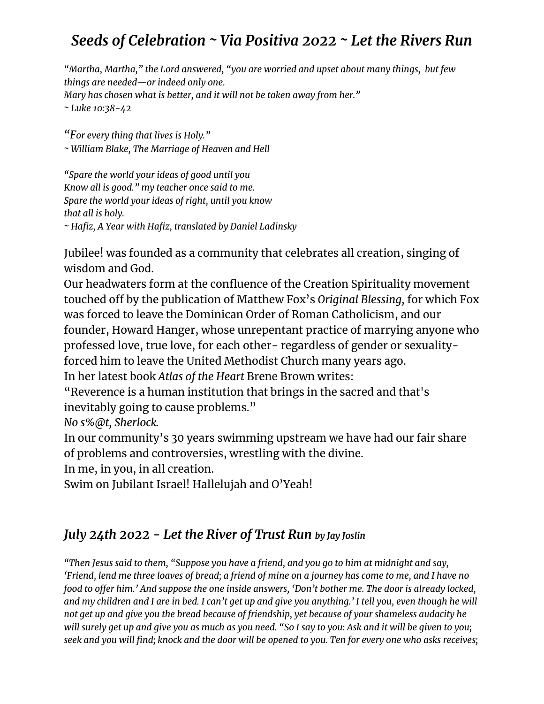*"Martha, Martha," the Lord answered, "you are worried and upset about many things, but few things are needed—or indeed only one. Mary has chosen what is better, and it will not be taken away from her."*

*~ Luke 10:38-42*

*"For every thing that lives is Holy." ~ William Blake, The Marriage of Heaven and Hell*

*"Spare the world your ideas of good until you Know all is good." my teacher once said to me. Spare the world your ideas of right, until you know that all is holy. ~ Hafiz, A Year with Hafiz, translated by Daniel Ladinsky*

Jubilee! was founded as a community that celebrates all creation, singing of wisdom and God.

Our headwaters form at the confluence of the Creation Spirituality movement touched off by the publication of Matthew Fox's *Original Blessing*, for which Fox was forced to leave the Dominican Order of Roman Catholicism, and our founder, Howard Hanger, whose unrepentant practice of marrying anyone who professed love, true love, for each other- regardless of gender or sexualityforced him to leave the United Methodist Church many years ago.

In her latest book *Atlas of the Heart* Brene Brown writes:

"Reverence is a human institution that brings in the sacred and that's inevitably going to cause problems."

*No s%@t, Sherlock.*

In our community's 30 years swimming upstream we have had our fair share of problems and controversies, wrestling with the divine.

In me, in you, in all creation.

Swim on Jubilant Israel! Hallelujah and O'Yeah!

### *July 24th 2022 - Let the River of Trust Run by Jay Joslin*

*"Then Jesus said to them, "Suppose you have a friend, and you go to him at midnight and say,* 'Friend, lend me three loaves of bread; a friend of mine on a journey has come to me, and I have no food to offer him.' And suppose the one inside answers, 'Don't bother me. The door is already locked, and my children and I are in bed. I can't get up and give you anything.' I tell you, even though he will *not get up and give you the bread because of friendship, yet because of your shameless audacity he* will surely get up and give you as much as you need. "So I say to you: Ask and it will be given to you; seek and you will find; knock and the door will be opened to you. Ten for every one who asks receives;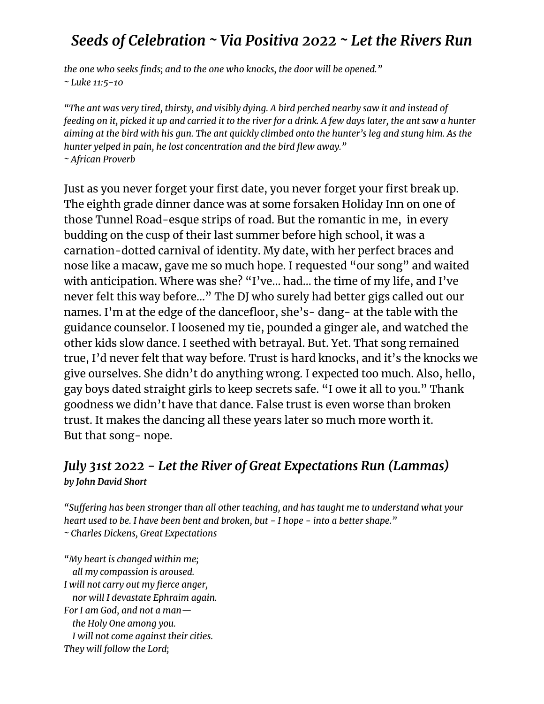*the one who seeks finds; and to the one who knocks, the door will be opened." ~ Luke 11:5-10*

*"The ant was very tired, thirsty, and visibly dying. A bird perched nearby saw it and instead of* feeding on it, picked it up and carried it to the river for a drink. A few days later, the ant saw a hunter aiming at the bird with his gun. The ant guickly climbed onto the hunter's leg and stung him. As the *hunter yelped in pain, he lost concentration and the bird flew away." ~ African Proverb*

Just as you never forget your first date, you never forget your first break up. The eighth grade dinner dance was at some forsaken Holiday Inn on one of those Tunnel Road-esque strips of road. But the romantic in me, in every budding on the cusp of their last summer before high school, it was a carnation-dotted carnival of identity. My date, with her perfect braces and nose like a macaw, gave me so much hope. I requested "our song" and waited with anticipation. Where was she? "I've… had… the time of my life, and I've never felt this way before…" The DJ who surely had better gigs called out our names. I'm at the edge of the dancefloor, she's- dang- at the table with the guidance counselor. I loosened my tie, pounded a ginger ale, and watched the other kids slow dance. I seethed with betrayal. But. Yet. That song remained true, I'd never felt that way before. Trust is hard knocks, and it's the knocks we give ourselves. She didn't do anything wrong. I expected too much. Also, hello, gay boys dated straight girls to keep secrets safe. "I owe it all to you." Thank goodness we didn't have that dance. False trust is even worse than broken trust. It makes the dancing all these years later so much more worth it. But that song- nope.

#### *July 31st 2022 - Let the River of Great Expectations Run (Lammas) by John David Short*

*"Suering has been stronger than all other teaching, and has taught me to understand what your heart used to be. I have been bent and broken, but - I hope - into a better shape." ~ Charles Dickens, Great Expectations*

*"My heart is changed within me; all my compassion is aroused. I will not carry out my fierce anger, nor will I devastate Ephraim again. For I am God, and not a man the Holy One among you. I will not come against their cities. They will follow the Lord;*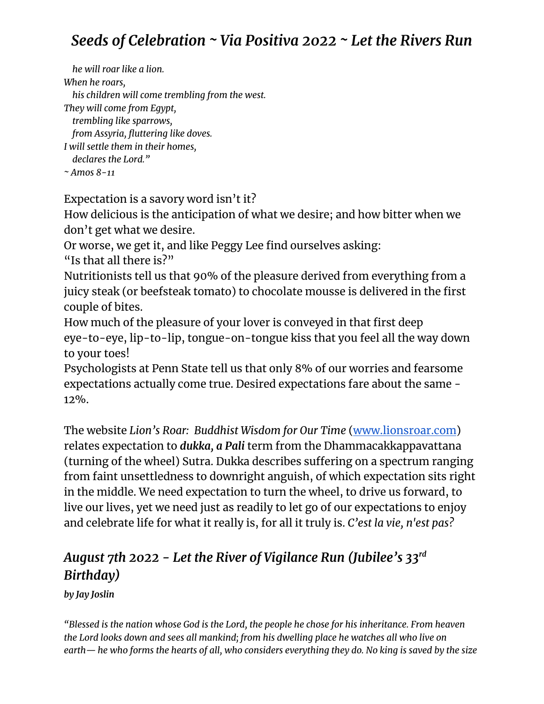*he will roar like a lion. When he roars, his children will come trembling from the west. They will come from Egypt, trembling like sparrows, from Assyria, fluttering like doves. I will settle them in their homes, declares the Lord." ~ Amos 8-11*

Expectation is a savory word isn't it?

How delicious is the anticipation of what we desire; and how bitter when we don't get what we desire.

Or worse, we get it, and like Peggy Lee find ourselves asking:

"Is that all there is?"

Nutritionists tell us that 90% of the pleasure derived from everything from a juicy steak (or beefsteak tomato) to chocolate mousse is delivered in the first couple of bites.

How much of the pleasure of your lover is conveyed in that first deep eye-to-eye, lip-to-lip, tongue-on-tongue kiss that you feel all the way down to your toes!

Psychologists at Penn State tell us that only 8% of our worries and fearsome expectations actually come true. Desired expectations fare about the same - 12%.

The website *Lion's Roar: Buddhist Wisdom for Our Time* (www.lionsroar.com) relates expectation to *dukka, a Pali* term from the Dhammacakkappavattana (turning of the wheel) Sutra. Dukka describes suffering on a spectrum ranging from faint unsettledness to downright anguish, of which expectation sits right in the middle. We need expectation to turn the wheel, to drive us forward, to live our lives, yet we need just as readily to let go of our expectations to enjoy and celebrate life for what it really is, for all it truly is. *C'est la vie, n'est pas?*

### *August 7th 2022 - Let the River of Vigilance Run (Jubilee's 33 rd Birthday)*

*by Jay Joslin*

*"Blessed is the nation whose God is the Lord, the people he chose for his inheritance. From heaven the Lord looks down and sees all mankind; from his dwelling place he watches all who live on* earth — he who forms the hearts of all, who considers everything they do. No king is saved by the size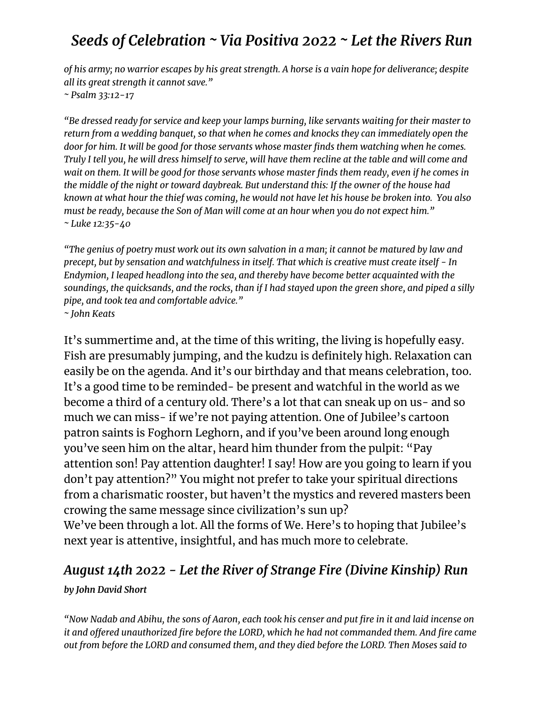of his army; no warrior escapes by his great strength. A horse is a vain hope for deliverance; despite *all its great strength it cannot save."*

*~ Psalm 33:12-17*

*"Be dressed ready for service and keep your lamps burning, like servants waiting for their master to return from a wedding banquet, so that when he comes and knocks they can immediately open the door for him. It will be good for those servants whose master finds them watching when he comes.* Truly I tell you, he will dress himself to serve, will have them recline at the table and will come and wait on them. It will be good for those servants whose master finds them ready, even if he comes in *the middle of the night or toward daybreak. But understand this: If the owner of the house had known at what hour the thief was coming, he would not have let his house be broken into. You also must be ready, because the Son of Man will come at an hour when you do not expect him." ~ Luke 12:35-40*

*"The genius of poetry must work out its own salvation in a man; it cannot be matured by law and precept, but by sensation and watchfulness in itself. That which is creative must create itself - In Endymion, I leaped headlong into the sea, and thereby have become better acquainted with the soundings, the quicksands, and the rocks, than if I had stayed upon the green shore, and piped a silly pipe, and took tea and comfortable advice." ~ John Keats*

It's summertime and, at the time of this writing, the living is hopefully easy. Fish are presumably jumping, and the kudzu is definitely high. Relaxation can easily be on the agenda. And it's our birthday and that means celebration, too. It's a good time to be reminded- be present and watchful in the world as we become a third of a century old. There's a lot that can sneak up on us- and so much we can miss- if we're not paying attention. One of Jubilee's cartoon patron saints is Foghorn Leghorn, and if you've been around long enough you've seen him on the altar, heard him thunder from the pulpit: "Pay attention son! Pay attention daughter! I say! How are you going to learn if you don't pay attention?" You might not prefer to take your spiritual directions from a charismatic rooster, but haven't the mystics and revered masters been crowing the same message since civilization's sun up? We've been through a lot. All the forms of We. Here's to hoping that Jubilee's next year is attentive, insightful, and has much more to celebrate.

### *August 14th 2022 - Let the River of Strange Fire (Divine Kinship) Run by John David Short*

"Now Nadab and Abihu, the sons of Aaron, each took his censer and put fire in it and laid incense on *it and oered unauthorized fire before the LORD, which he had not commanded them. And fire came out from before the LORD and consumed them, and they died before the LORD. Then Moses said to*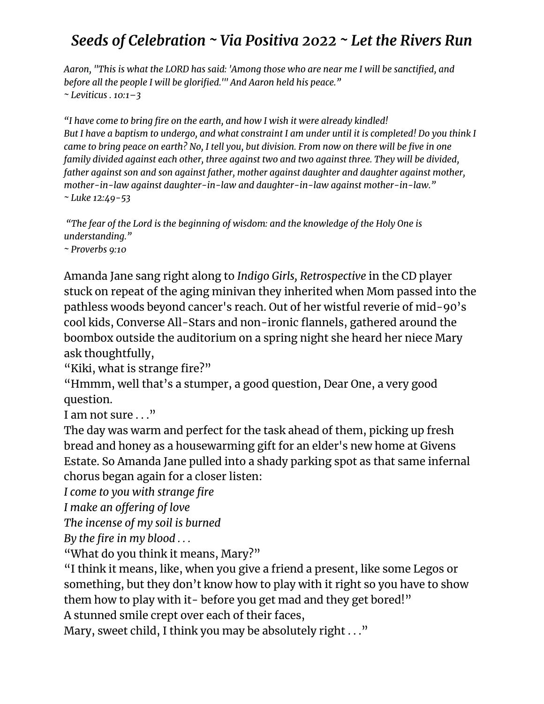Aaron, "This is what the LORD has said: 'Among those who are near me I will be sanctified, and *before all the people I will be glorified.'" And Aaron held his peace." ~ Leviticus . 10:1–3*

*"I have come to bring fire on the earth, and how I wish it were already kindled!* But I have a baptism to undergo, and what constraint I am under until it is completed! Do you think I *came to bring peace on earth? No, I tell you, but division. From now on there will be five in one family divided against each other, three against two and two against three. They will be divided, father against son and son against father, mother against daughter and daughter against mother, mother-in-law against daughter-in-law and daughter-in-law against mother-in-law." ~ Luke 12:49-53*

*"The fear of the Lord is the beginning of wisdom: and the knowledge of the Holy One is understanding."*

*~ Proverbs 9:10*

Amanda Jane sang right along to *Indigo Girls, Retrospective* in the CD player stuck on repeat of the aging minivan they inherited when Mom passed into the pathless woods beyond cancer's reach. Out of her wistful reverie of mid-90's cool kids, Converse All-Stars and non-ironic flannels, gathered around the boombox outside the auditorium on a spring night she heard her niece Mary ask thoughtfully,

"Kiki, what is strange fire?"

"Hmmm, well that's a stumper, a good question, Dear One, a very good question.

I am not sure . . ."

The day was warm and perfect for the task ahead of them, picking up fresh bread and honey as a housewarming gift for an elder's new home at Givens Estate. So Amanda Jane pulled into a shady parking spot as that same infernal chorus began again for a closer listen:

*I come to you with strange fire*

*I* make an offering of love

*The incense of my soil is burned*

*By the fire in my blood . . .*

"What do you think it means, Mary?"

"I think it means, like, when you give a friend a present, like some Legos or something, but they don't know how to play with it right so you have to show them how to play with it- before you get mad and they get bored!"

A stunned smile crept over each of their faces,

Mary, sweet child, I think you may be absolutely right . . ."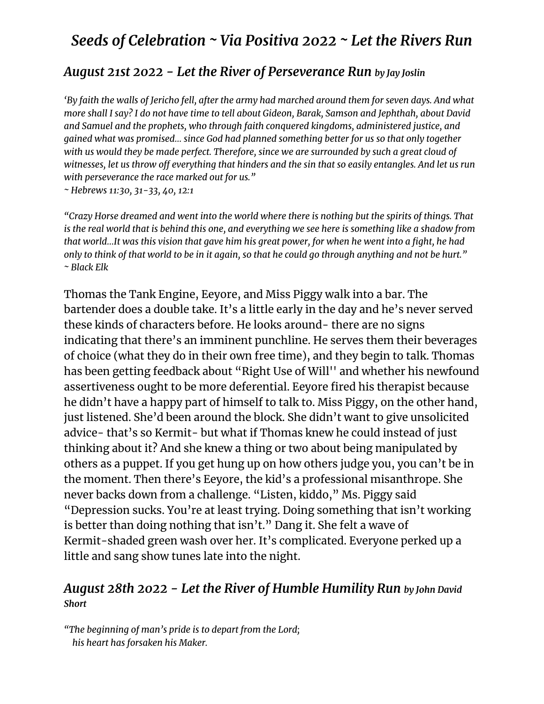#### *August 21st 2022 - Let the River of Perseverance Run by Jay Joslin*

'By faith the walls of Jericho fell, after the army had marched around them for seven days. And what *more shall I say? I do not have time to tell about Gideon, Barak, Samson and Jephthah, about David and Samuel and the prophets, who through faith conquered kingdoms, administered justice, and gained what was promised… since God had planned something better for us so that only together with us would they be made perfect. Therefore, since we are surrounded by such a great cloud of* witnesses, let us throw off everything that hinders and the sin that so easily entangles. And let us run *with perseverance the race marked out for us."*

*~ Hebrews 11:30, 31-33, 40, 12:1*

"Crazy Horse dreamed and went into the world where there is nothing but the spirits of things. That is the real world that is behind this one, and everything we see here is something like a shadow from *that world…It was this vision that gave him his great power, for when he went into a fight, he had* only to think of that world to be in it again, so that he could go through anything and not be hurt." *~ Black Elk*

Thomas the Tank Engine, Eeyore, and Miss Piggy walk into a bar. The bartender does a double take. It's a little early in the day and he's never served these kinds of characters before. He looks around- there are no signs indicating that there's an imminent punchline. He serves them their beverages of choice (what they do in their own free time), and they begin to talk. Thomas has been getting feedback about "Right Use of Will'' and whether his newfound assertiveness ought to be more deferential. Eeyore fired his therapist because he didn't have a happy part of himself to talk to. Miss Piggy, on the other hand, just listened. She'd been around the block. She didn't want to give unsolicited advice- that's so Kermit- but what if Thomas knew he could instead of just thinking about it? And she knew a thing or two about being manipulated by others as a puppet. If you get hung up on how others judge you, you can't be in the moment. Then there's Eeyore, the kid's a professional misanthrope. She never backs down from a challenge. "Listen, kiddo," Ms. Piggy said "Depression sucks. You're at least trying. Doing something that isn't working is better than doing nothing that isn't." Dang it. She felt a wave of Kermit-shaded green wash over her. It's complicated. Everyone perked up a little and sang show tunes late into the night.

#### *August 28th 2022 - Let the River of Humble Humility Run by John David Short*

*"The beginning of man's pride is to depart from the Lord; his heart has forsaken his Maker.*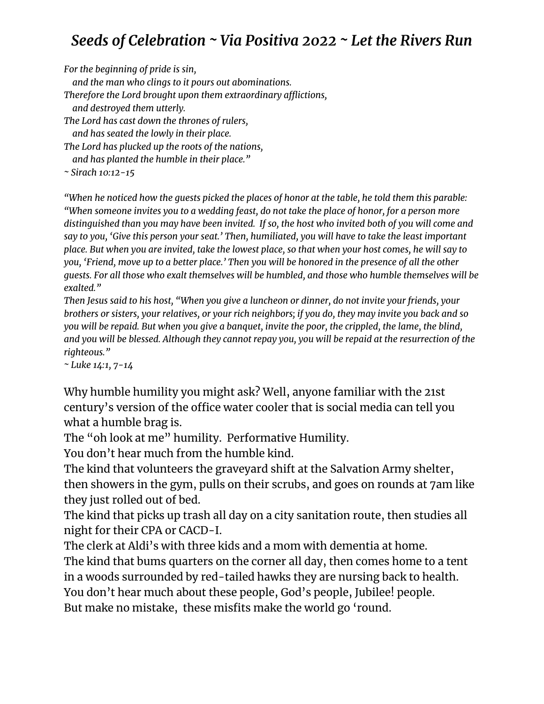*For the beginning of pride is sin, and the man who clings to it pours out abominations. Therefore the Lord brought upon them extraordinary afflictions*, *and destroyed them utterly. The Lord has cast down the thrones of rulers, and has seated the lowly in their place. The Lord has plucked up the roots of the nations, and has planted the humble in their place." ~ Sirach 10:12-15*

"When he noticed how the quests picked the places of honor at the table, he told them this parable: *"When someone invites you to a wedding feast, do not take the place of honor, for a person more distinguished than you may have been invited. If so, the host who invited both of you will come and say to you, 'Give this person your seat.' Then, humiliated, you will have to take the least important* place. But when you are invited, take the lowest place, so that when your host comes, he will say to *you, 'Friend, move up to a better place.' Then you will be honored in the presence of all the other guests. For all those who exalt themselves will be humbled, and those who humble themselves will be exalted."*

*Then Jesus said to his host, "When you give a luncheon or dinner, do not invite your friends, your* brothers or sisters, your relatives, or your rich neighbors; if you do, they may invite you back and so *you will be repaid. But when you give a banquet, invite the poor, the crippled, the lame, the blind,* and you will be blessed. Although they cannot repay you, you will be repaid at the resurrection of the *righteous."*

*~ Luke 14:1, 7-14*

Why humble humility you might ask? Well, anyone familiar with the 21st century's version of the office water cooler that is social media can tell you what a humble brag is.

The "oh look at me" humility. Performative Humility.

You don't hear much from the humble kind.

The kind that volunteers the graveyard shift at the Salvation Army shelter, then showers in the gym, pulls on their scrubs, and goes on rounds at 7am like they just rolled out of bed.

The kind that picks up trash all day on a city sanitation route, then studies all night for their CPA or CACD-I.

The clerk at Aldi's with three kids and a mom with dementia at home. The kind that bums quarters on the corner all day, then comes home to a tent in a woods surrounded by red-tailed hawks they are nursing back to health. You don't hear much about these people, God's people, Jubilee! people. But make no mistake, these misfits make the world go 'round.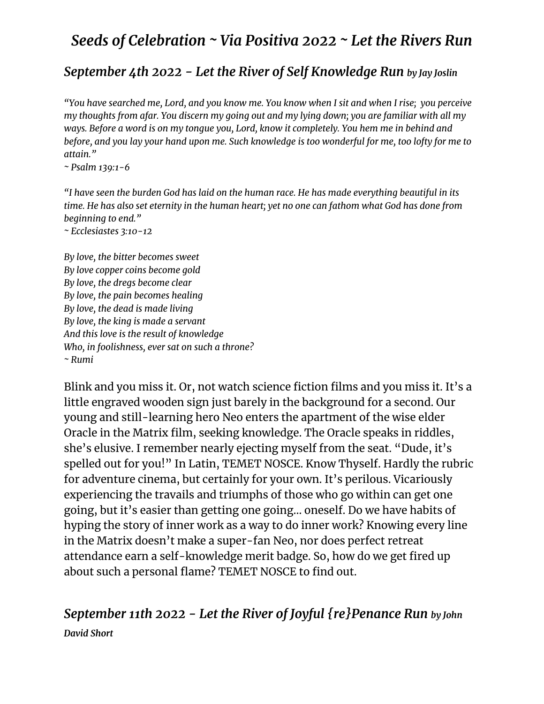### *September 4th 2022 - Let the River of Self Knowledge Run by Jay Joslin*

*"You have searched me, Lord, and you know me. You know when I sit and when I rise; you perceive my thoughts from afar. You discern my going out and my lying down; you are familiar with all my ways. Before a word is on my tongue you, Lord, know it completely. You hem me in behind and* before, and you lay your hand upon me. Such knowledge is too wonderful for me, too lofty for me to *attain."*

*~ Psalm 139:1-6*

*"I have seen the burden God has laid on the human race. He has made everything beautiful in its time. He has also set eternity in the human heart; yet no one can fathom what God has done from beginning to end."*

*~ Ecclesiastes 3:10-12*

*By love, the bitter becomes sweet By love copper coins become gold By love, the dregs become clear By love, the pain becomes healing By love, the dead is made living By love, the king is made a servant And this love is the result of knowledge Who, in foolishness, ever sat on such a throne? ~ Rumi*

Blink and you miss it. Or, not watch science fiction films and you miss it. It's a little engraved wooden sign just barely in the background for a second. Our young and still-learning hero Neo enters the apartment of the wise elder Oracle in the Matrix film, seeking knowledge. The Oracle speaks in riddles, she's elusive. I remember nearly ejecting myself from the seat. "Dude, it's spelled out for you!" In Latin, TEMET NOSCE. Know Thyself. Hardly the rubric for adventure cinema, but certainly for your own. It's perilous. Vicariously experiencing the travails and triumphs of those who go within can get one going, but it's easier than getting one going… oneself. Do we have habits of hyping the story of inner work as a way to do inner work? Knowing every line in the Matrix doesn't make a super-fan Neo, nor does perfect retreat attendance earn a self-knowledge merit badge. So, how do we get fired up about such a personal flame? TEMET NOSCE to find out.

# *September 11th 2022 - Let the River of Joyful {re}Penance Run by John*

*David Short*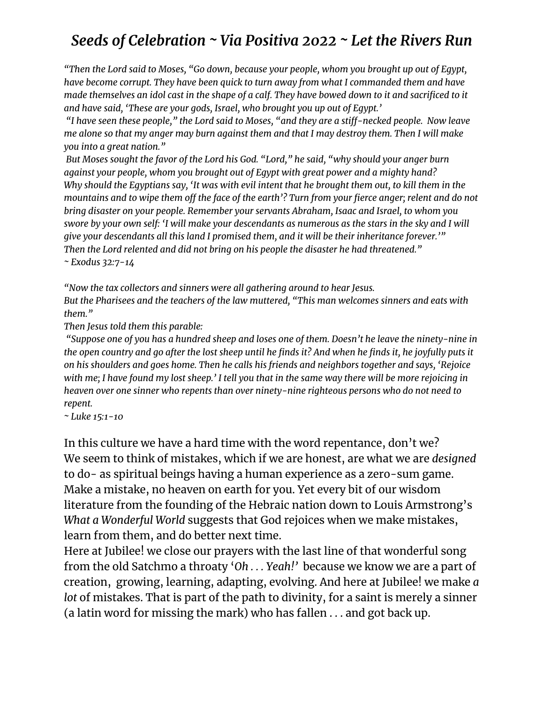*"Then the Lord said to Moses, "Go down, because your people, whom you brought up out of Egypt, have become corrupt. They have been quick to turn away from what I commanded them and have* made themselves an idol cast in the shape of a calf. They have bowed down to it and sacrificed to it *and have said, 'These are your gods, Israel, who brought you up out of Egypt.'*

*"I have seen these people," the Lord said to Moses, "and they are a sti-necked people. Now leave me alone so that my anger may burn against them and that I may destroy them. Then I will make you into a great nation."*

*But Moses sought the favor of the Lord his God. "Lord," he said, "why should your anger burn against your people, whom you brought out of Egypt with great power and a mighty hand?* Why should the Eqyptians say, 'It was with evil intent that he brought them out, to kill them in the mountains and to wipe them off the face of the earth'? Turn from your fierce anger; relent and do not *bring disaster on your people. Remember your servants Abraham, Isaac and Israel, to whom you* swore by your own self: 'I will make your descendants as numerous as the stars in the sky and I will *give your descendants all this land I promised them, and it will be their inheritance forever.'" Then the Lord relented and did not bring on his people the disaster he had threatened." ~ Exodus 32:7-14*

*"Now the tax collectors and sinners were all gathering around to hear Jesus. But the Pharisees and the teachers of the law muttered, "This man welcomes sinners and eats with them."*

*Then Jesus told them this parable:*

*"Suppose one of you has a hundred sheep and loses one of them. Doesn't he leave the ninety-nine in* the open country and go after the lost sheep until he finds it? And when he finds it, he joyfully puts it *on his shoulders and goes home. Then he calls his friends and neighbors together and says, 'Rejoice* with me; I have found my lost sheep.' I tell you that in the same way there will be more rejoicing in *heaven over one sinner who repents than over ninety-nine righteous persons who do not need to repent.*

*~ Luke 15:1-10*

In this culture we have a hard time with the word repentance, don't we? We seem to think of mistakes, which if we are honest, are what we are *designed* to do- as spiritual beings having a human experience as a zero-sum game. Make a mistake, no heaven on earth for you. Yet every bit of our wisdom literature from the founding of the Hebraic nation down to Louis Armstrong's *What a Wonderful World* suggests that God rejoices when we make mistakes, learn from them, and do better next time.

Here at Jubilee! we close our prayers with the last line of that wonderful song from the old Satchmo a throaty '*Oh . . . Yeah!'* because we know we are a part of creation, growing, learning, adapting, evolving. And here at Jubilee! we make *a lot* of mistakes. That is part of the path to divinity, for a saint is merely a sinner (a latin word for missing the mark) who has fallen . . . and got back up.